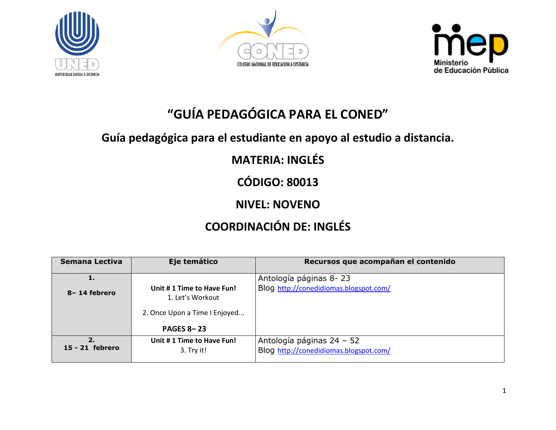





# **"GUÍA PEDAGÓGICA PARA EL CONED"**

### **Guía pedagógica para el estudiante en apoyo al estudio a distancia.**

### **MATERIA: INGLÉS**

**CÓDIGO: 80013**

### **NIVEL: NOVENO**

## **COORDINACIÓN DE: INGLÉS**

| Semana Lectiva        | Eje temático                                                                                        | Recursos que acompañan el contenido                                 |
|-----------------------|-----------------------------------------------------------------------------------------------------|---------------------------------------------------------------------|
|                       |                                                                                                     | Antología páginas 8-23                                              |
| 8-14 febrero          | Unit #1 Time to Have Fun!<br>1. Let's Workout<br>2. Once Upon a Time I Enjoyed<br><b>PAGES 8-23</b> | Blog http://conedidiomas.blogspot.com/                              |
| 2.<br>15 - 21 febrero | Unit #1 Time to Have Fun!<br>3. Try it!                                                             | Antología páginas 24 - 52<br>Blog http://conedidiomas.blogspot.com/ |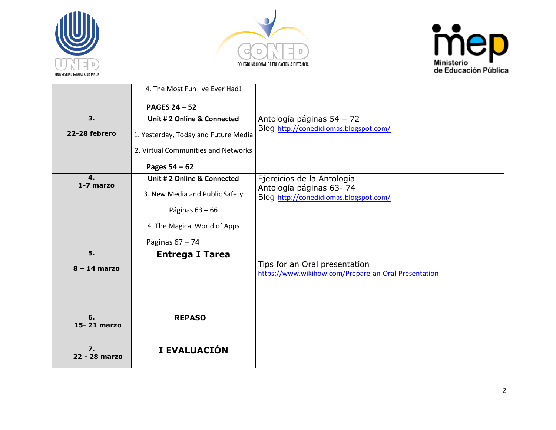





|                     | 4. The Most Fun I've Ever Had!       |                                                                   |
|---------------------|--------------------------------------|-------------------------------------------------------------------|
|                     | <b>PAGES 24-52</b>                   |                                                                   |
| 3.                  | Unit # 2 Online & Connected          | Antología páginas 54 - 72                                         |
|                     |                                      | Blog http://conedidiomas.blogspot.com/                            |
| 22-28 febrero       | 1. Yesterday, Today and Future Media |                                                                   |
|                     | 2. Virtual Communities and Networks  |                                                                   |
|                     | Pages $54 - 62$                      |                                                                   |
| 4.<br>1-7 marzo     | Unit # 2 Online & Connected          | Ejercicios de la Antología                                        |
|                     | 3. New Media and Public Safety       | Antología páginas 63-74<br>Blog http://conedidiomas.blogspot.com/ |
|                     |                                      |                                                                   |
|                     | Páginas $63 - 66$                    |                                                                   |
|                     | 4. The Magical World of Apps         |                                                                   |
|                     | Páginas 67 - 74                      |                                                                   |
| 5.                  | <b>Entrega I Tarea</b>               |                                                                   |
| $8 - 14$ marzo      |                                      | Tips for an Oral presentation                                     |
|                     |                                      | https://www.wikihow.com/Prepare-an-Oral-Presentation              |
|                     |                                      |                                                                   |
|                     |                                      |                                                                   |
| 6.                  | <b>REPASO</b>                        |                                                                   |
| 15-21 marzo         |                                      |                                                                   |
|                     |                                      |                                                                   |
| 7.<br>22 - 28 marzo | I EVALUACIÓN                         |                                                                   |
|                     |                                      |                                                                   |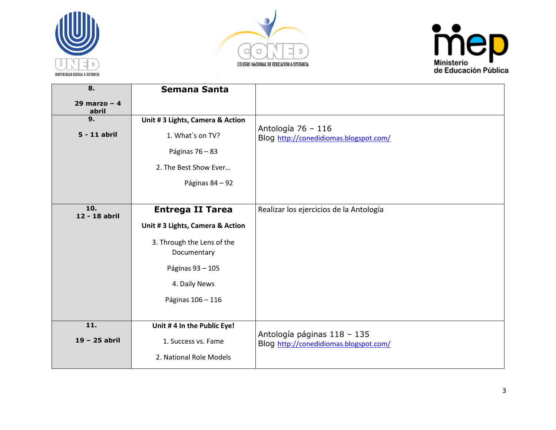





| 8.                      | <b>Semana Santa</b>             |                                                                       |
|-------------------------|---------------------------------|-----------------------------------------------------------------------|
| 29 marzo - $4$<br>abril |                                 |                                                                       |
| 9.                      | Unit #3 Lights, Camera & Action |                                                                       |
| 5 - 11 abril            | 1. What's on TV?                | Antología 76 - 116<br>Blog http://conedidiomas.blogspot.com/          |
|                         | Páginas 76 - 83                 |                                                                       |
|                         | 2. The Best Show Ever           |                                                                       |
|                         | Páginas 84 - 92                 |                                                                       |
|                         |                                 |                                                                       |
| 10.<br>12 - 18 abril    | <b>Entrega II Tarea</b>         | Realizar los ejercicios de la Antología                               |
|                         | Unit #3 Lights, Camera & Action |                                                                       |
|                         | 3. Through the Lens of the      |                                                                       |
|                         | Documentary                     |                                                                       |
|                         | Páginas 93 - 105                |                                                                       |
|                         | 4. Daily News                   |                                                                       |
|                         | Páginas 106 - 116               |                                                                       |
|                         |                                 |                                                                       |
| 11.                     | Unit #4 In the Public Eye!      |                                                                       |
| 19 - 25 abril           | 1. Success vs. Fame             | Antología páginas 118 - 135<br>Blog http://conedidiomas.blogspot.com/ |
|                         | 2. National Role Models         |                                                                       |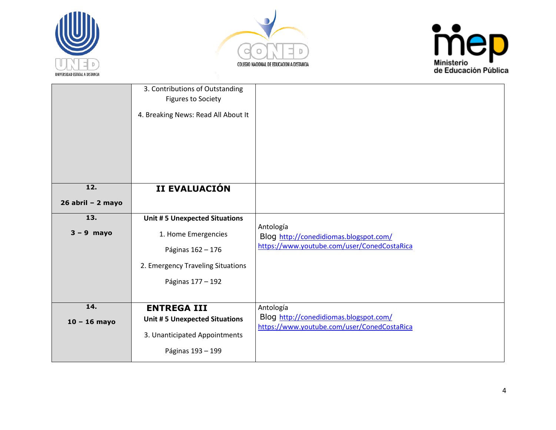





|                     | 3. Contributions of Outstanding<br>Figures to Society<br>4. Breaking News: Read All About It |                                                                                       |
|---------------------|----------------------------------------------------------------------------------------------|---------------------------------------------------------------------------------------|
| 12.                 | II EVALUACIÓN                                                                                |                                                                                       |
| $26$ abril - 2 mayo |                                                                                              |                                                                                       |
| 13.                 | <b>Unit #5 Unexpected Situations</b>                                                         |                                                                                       |
| $3 - 9$ mayo        | 1. Home Emergencies                                                                          | Antología<br>Blog http://conedidiomas.blogspot.com/                                   |
|                     | Páginas 162 - 176                                                                            | https://www.youtube.com/user/ConedCostaRica                                           |
|                     | 2. Emergency Traveling Situations                                                            |                                                                                       |
|                     | Páginas 177 - 192                                                                            |                                                                                       |
|                     |                                                                                              |                                                                                       |
| 14.                 | <b>ENTREGA III</b>                                                                           | Antología                                                                             |
| $10 - 16$ mayo      | <b>Unit #5 Unexpected Situations</b>                                                         | Blog http://conedidiomas.blogspot.com/<br>https://www.youtube.com/user/ConedCostaRica |
|                     | 3. Unanticipated Appointments                                                                |                                                                                       |
|                     | Páginas 193 - 199                                                                            |                                                                                       |